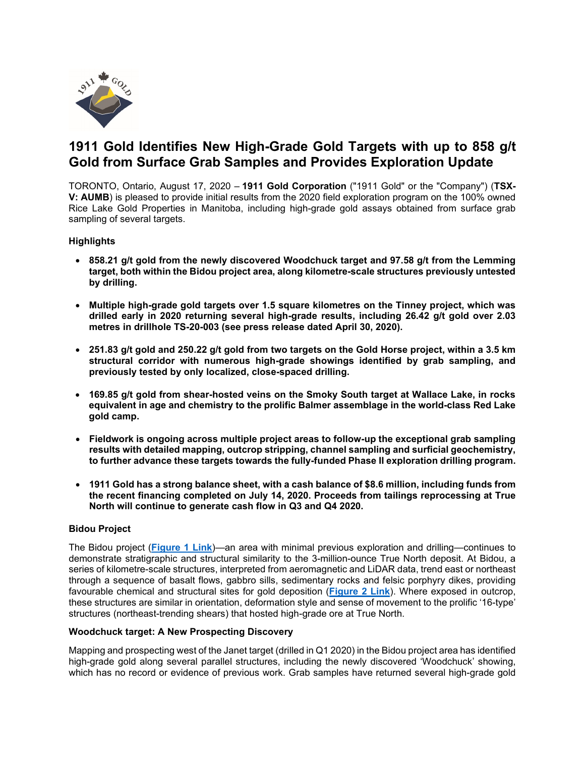

# **1911 Gold Identifies New High-Grade Gold Targets with up to 858 g/t Gold from Surface Grab Samples and Provides Exploration Update**

TORONTO, Ontario, August 17, 2020 – **1911 Gold Corporation** ("1911 Gold" or the "Company") (**TSX-V: AUMB**) is pleased to provide initial results from the 2020 field exploration program on the 100% owned Rice Lake Gold Properties in Manitoba, including high-grade gold assays obtained from surface grab sampling of several targets.

## **Highlights**

- **858.21 g/t gold from the newly discovered Woodchuck target and 97.58 g/t from the Lemming target, both within the Bidou project area, along kilometre-scale structures previously untested by drilling.**
- **Multiple high-grade gold targets over 1.5 square kilometres on the Tinney project, which was drilled early in 2020 returning several high-grade results, including 26.42 g/t gold over 2.03 metres in drillhole TS-20-003 (see press release dated April 30, 2020).**
- 251.83 g/t gold and 250.22 g/t gold from two targets on the Gold Horse project, within a 3.5 km **structural corridor with numerous high-grade showings identified by grab sampling, and previously tested by only localized, close-spaced drilling.**
- **169.85 g/t gold from shear-hosted veins on the Smoky South target at Wallace Lake, in rocks equivalent in age and chemistry to the prolific Balmer assemblage in the world-class Red Lake gold camp.**
- **Fieldwork is ongoing across multiple project areas to follow-up the exceptional grab sampling results with detailed mapping, outcrop stripping, channel sampling and surficial geochemistry, to further advance these targets towards the fully-funded Phase II exploration drilling program.**
- **1911 Gold has a strong balance sheet, with a cash balance of \$8.6 million, including funds from the recent financing completed on July 14, 2020. Proceeds from tailings reprocessing at True North will continue to generate cash flow in Q3 and Q4 2020.**

### **Bidou Project**

The Bidou project (**[Figure 1 Link](https://www.1911gold.com/_resources/news/AUMB-NR-August-2020_Figure-1.pdf)**)—an area with minimal previous exploration and drilling—continues to demonstrate stratigraphic and structural similarity to the 3-million-ounce True North deposit. At Bidou, a series of kilometre-scale structures, interpreted from aeromagnetic and LiDAR data, trend east or northeast through a sequence of basalt flows, gabbro sills, sedimentary rocks and felsic porphyry dikes, providing favourable chemical and structural sites for gold deposition (**[Figure 2 Link](https://www.1911gold.com/_resources/news/AUMB-NR-August-2020_Figure-2.pdf)**). Where exposed in outcrop, these structures are similar in orientation, deformation style and sense of movement to the prolific '16-type' structures (northeast-trending shears) that hosted high-grade ore at True North.

## **Woodchuck target: A New Prospecting Discovery**

Mapping and prospecting west of the Janet target (drilled in Q1 2020) in the Bidou project area has identified high-grade gold along several parallel structures, including the newly discovered 'Woodchuck' showing, which has no record or evidence of previous work. Grab samples have returned several high-grade gold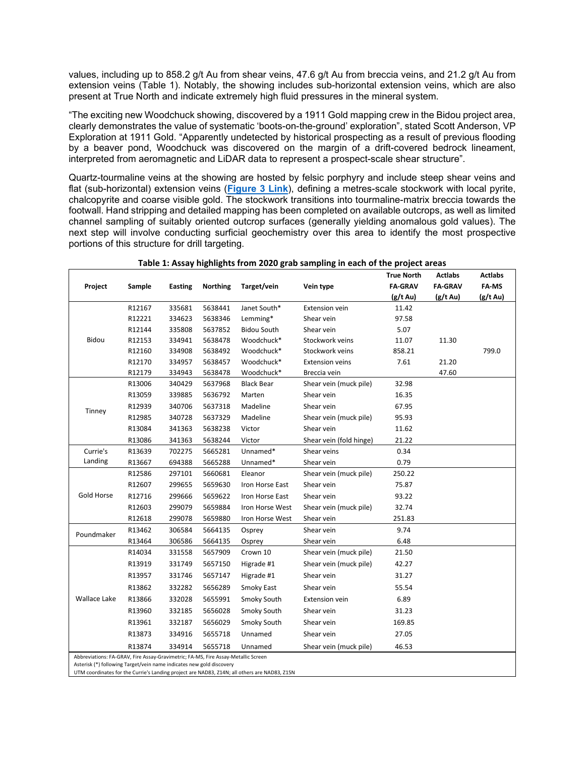values, including up to 858.2 g/t Au from shear veins, 47.6 g/t Au from breccia veins, and 21.2 g/t Au from extension veins (Table 1). Notably, the showing includes sub-horizontal extension veins, which are also present at True North and indicate extremely high fluid pressures in the mineral system.

"The exciting new Woodchuck showing, discovered by a 1911 Gold mapping crew in the Bidou project area, clearly demonstrates the value of systematic 'boots-on-the-ground' exploration", stated Scott Anderson, VP Exploration at 1911 Gold. "Apparently undetected by historical prospecting as a result of previous flooding by a beaver pond, Woodchuck was discovered on the margin of a drift-covered bedrock lineament, interpreted from aeromagnetic and LiDAR data to represent a prospect-scale shear structure".

Quartz-tourmaline veins at the showing are hosted by felsic porphyry and include steep shear veins and flat (sub-horizontal) extension veins (**[Figure 3](https://www.1911gold.com/_resources/news/AUMB-NR-August-2020_Figure-3.pdf) Link**), defining a metres-scale stockwork with local pyrite, chalcopyrite and coarse visible gold. The stockwork transitions into tourmaline-matrix breccia towards the footwall. Hand stripping and detailed mapping has been completed on available outcrops, as well as limited channel sampling of suitably oriented outcrop surfaces (generally yielding anomalous gold values). The next step will involve conducting surficial geochemistry over this area to identify the most prospective portions of this structure for drill targeting.

|                                                                                                                                                           |        |                |                 |                    |                         | <b>True North</b>  | <b>Actlabs</b>     | <b>Actlabs</b>     |
|-----------------------------------------------------------------------------------------------------------------------------------------------------------|--------|----------------|-----------------|--------------------|-------------------------|--------------------|--------------------|--------------------|
| Project                                                                                                                                                   | Sample | <b>Easting</b> | <b>Northing</b> | Target/vein        | Vein type               | <b>FA-GRAV</b>     | <b>FA-GRAV</b>     | FA-MS              |
|                                                                                                                                                           |        |                |                 |                    |                         | $(g/t \text{ Au})$ | $(g/t \text{ Au})$ | $(g/t \text{ Au})$ |
| Bidou                                                                                                                                                     | R12167 | 335681         | 5638441         | Janet South*       | <b>Extension vein</b>   | 11.42              |                    |                    |
|                                                                                                                                                           | R12221 | 334623         | 5638346         | Lemming*           | Shear vein              | 97.58              |                    |                    |
|                                                                                                                                                           | R12144 | 335808         | 5637852         | <b>Bidou South</b> | Shear vein              | 5.07               |                    |                    |
|                                                                                                                                                           | R12153 | 334941         | 5638478         | Woodchuck*         | Stockwork veins         | 11.07              | 11.30              |                    |
|                                                                                                                                                           | R12160 | 334908         | 5638492         | Woodchuck*         | Stockwork veins         | 858.21             |                    | 799.0              |
|                                                                                                                                                           | R12170 | 334957         | 5638457         | Woodchuck*         | <b>Extension veins</b>  | 7.61               | 21.20              |                    |
|                                                                                                                                                           | R12179 | 334943         | 5638478         | Woodchuck*         | Breccia vein            |                    | 47.60              |                    |
| Tinney                                                                                                                                                    | R13006 | 340429         | 5637968         | <b>Black Bear</b>  | Shear vein (muck pile)  | 32.98              |                    |                    |
|                                                                                                                                                           | R13059 | 339885         | 5636792         | Marten             | Shear vein              | 16.35              |                    |                    |
|                                                                                                                                                           | R12939 | 340706         | 5637318         | Madeline           | Shear vein              | 67.95              |                    |                    |
|                                                                                                                                                           | R12985 | 340728         | 5637329         | Madeline           | Shear vein (muck pile)  | 95.93              |                    |                    |
|                                                                                                                                                           | R13084 | 341363         | 5638238         | Victor             | Shear vein              | 11.62              |                    |                    |
|                                                                                                                                                           | R13086 | 341363         | 5638244         | Victor             | Shear vein (fold hinge) | 21.22              |                    |                    |
| Currie's<br>Landing                                                                                                                                       | R13639 | 702275         | 5665281         | Unnamed*           | Shear veins             | 0.34               |                    |                    |
|                                                                                                                                                           | R13667 | 694388         | 5665288         | Unnamed*           | Shear vein              | 0.79               |                    |                    |
| Gold Horse                                                                                                                                                | R12586 | 297101         | 5660681         | Eleanor            | Shear vein (muck pile)  | 250.22             |                    |                    |
|                                                                                                                                                           | R12607 | 299655         | 5659630         | Iron Horse East    | Shear vein              | 75.87              |                    |                    |
|                                                                                                                                                           | R12716 | 299666         | 5659622         | Iron Horse East    | Shear vein              | 93.22              |                    |                    |
|                                                                                                                                                           | R12603 | 299079         | 5659884         | Iron Horse West    | Shear vein (muck pile)  | 32.74              |                    |                    |
|                                                                                                                                                           | R12618 | 299078         | 5659880         | Iron Horse West    | Shear vein              | 251.83             |                    |                    |
| Poundmaker                                                                                                                                                | R13462 | 306584         | 5664135         | Osprey             | Shear vein              | 9.74               |                    |                    |
|                                                                                                                                                           | R13464 | 306586         | 5664135         | Osprey             | Shear vein              | 6.48               |                    |                    |
| <b>Wallace Lake</b>                                                                                                                                       | R14034 | 331558         | 5657909         | Crown 10           | Shear vein (muck pile)  | 21.50              |                    |                    |
|                                                                                                                                                           | R13919 | 331749         | 5657150         | Higrade #1         | Shear vein (muck pile)  | 42.27              |                    |                    |
|                                                                                                                                                           | R13957 | 331746         | 5657147         | Higrade #1         | Shear vein              | 31.27              |                    |                    |
|                                                                                                                                                           | R13862 | 332282         | 5656289         | <b>Smoky East</b>  | Shear vein              | 55.54              |                    |                    |
|                                                                                                                                                           | R13866 | 332028         | 5655991         | Smoky South        | <b>Extension vein</b>   | 6.89               |                    |                    |
|                                                                                                                                                           | R13960 | 332185         | 5656028         | Smoky South        | Shear vein              | 31.23              |                    |                    |
|                                                                                                                                                           | R13961 | 332187         | 5656029         | Smoky South        | Shear vein              | 169.85             |                    |                    |
|                                                                                                                                                           | R13873 | 334916         | 5655718         | Unnamed            | Shear vein              | 27.05              |                    |                    |
|                                                                                                                                                           | R13874 | 334914         | 5655718         | Unnamed            |                         | 46.53              |                    |                    |
|                                                                                                                                                           |        |                |                 |                    | Shear vein (muck pile)  |                    |                    |                    |
| Abbreviations: FA-GRAV, Fire Assay-Gravimetric; FA-MS, Fire Assay-Metallic Screen<br>Asterisk (*) following Target/vein name indicates new gold discovery |        |                |                 |                    |                         |                    |                    |                    |

#### **Table 1: Assay highlights from 2020 grab sampling in each of the project areas**

UTM coordinates for the Currie's Landing project are NAD83, Z14N; all others are NAD83, Z15N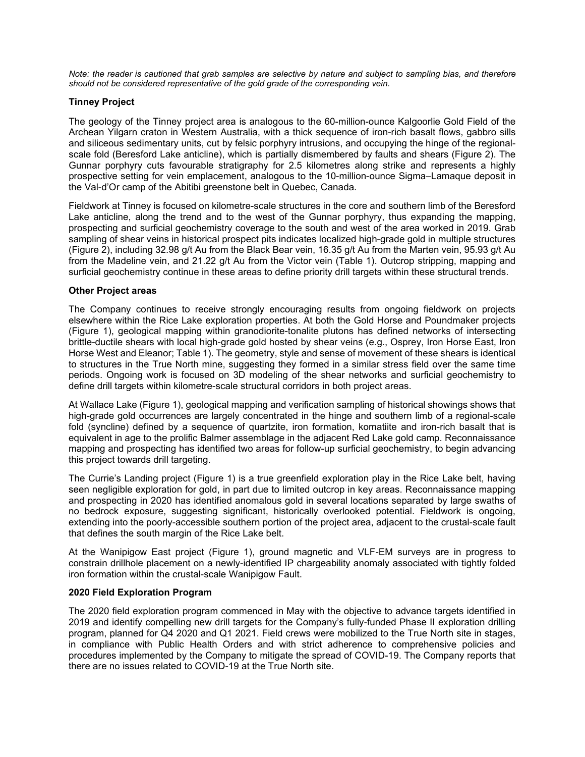*Note: the reader is cautioned that grab samples are selective by nature and subject to sampling bias, and therefore should not be considered representative of the gold grade of the corresponding vein.*

## **Tinney Project**

The geology of the Tinney project area is analogous to the 60-million-ounce Kalgoorlie Gold Field of the Archean Yilgarn craton in Western Australia, with a thick sequence of iron-rich basalt flows, gabbro sills and siliceous sedimentary units, cut by felsic porphyry intrusions, and occupying the hinge of the regionalscale fold (Beresford Lake anticline), which is partially dismembered by faults and shears (Figure 2). The Gunnar porphyry cuts favourable stratigraphy for 2.5 kilometres along strike and represents a highly prospective setting for vein emplacement, analogous to the 10-million-ounce Sigma–Lamaque deposit in the Val-d'Or camp of the Abitibi greenstone belt in Quebec, Canada.

Fieldwork at Tinney is focused on kilometre-scale structures in the core and southern limb of the Beresford Lake anticline, along the trend and to the west of the Gunnar porphyry, thus expanding the mapping, prospecting and surficial geochemistry coverage to the south and west of the area worked in 2019. Grab sampling of shear veins in historical prospect pits indicates localized high-grade gold in multiple structures (Figure 2), including 32.98 g/t Au from the Black Bear vein, 16.35 g/t Au from the Marten vein, 95.93 g/t Au from the Madeline vein, and 21.22 g/t Au from the Victor vein (Table 1). Outcrop stripping, mapping and surficial geochemistry continue in these areas to define priority drill targets within these structural trends.

### **Other Project areas**

The Company continues to receive strongly encouraging results from ongoing fieldwork on projects elsewhere within the Rice Lake exploration properties. At both the Gold Horse and Poundmaker projects (Figure 1), geological mapping within granodiorite-tonalite plutons has defined networks of intersecting brittle-ductile shears with local high-grade gold hosted by shear veins (e.g., Osprey, Iron Horse East, Iron Horse West and Eleanor; Table 1). The geometry, style and sense of movement of these shears is identical to structures in the True North mine, suggesting they formed in a similar stress field over the same time periods. Ongoing work is focused on 3D modeling of the shear networks and surficial geochemistry to define drill targets within kilometre-scale structural corridors in both project areas.

At Wallace Lake (Figure 1), geological mapping and verification sampling of historical showings shows that high-grade gold occurrences are largely concentrated in the hinge and southern limb of a regional-scale fold (syncline) defined by a sequence of quartzite, iron formation, komatiite and iron-rich basalt that is equivalent in age to the prolific Balmer assemblage in the adjacent Red Lake gold camp. Reconnaissance mapping and prospecting has identified two areas for follow-up surficial geochemistry, to begin advancing this project towards drill targeting.

The Currie's Landing project (Figure 1) is a true greenfield exploration play in the Rice Lake belt, having seen negligible exploration for gold, in part due to limited outcrop in key areas. Reconnaissance mapping and prospecting in 2020 has identified anomalous gold in several locations separated by large swaths of no bedrock exposure, suggesting significant, historically overlooked potential. Fieldwork is ongoing, extending into the poorly-accessible southern portion of the project area, adjacent to the crustal-scale fault that defines the south margin of the Rice Lake belt.

At the Wanipigow East project (Figure 1), ground magnetic and VLF-EM surveys are in progress to constrain drillhole placement on a newly-identified IP chargeability anomaly associated with tightly folded iron formation within the crustal-scale Wanipigow Fault.

### **2020 Field Exploration Program**

The 2020 field exploration program commenced in May with the objective to advance targets identified in 2019 and identify compelling new drill targets for the Company's fully-funded Phase II exploration drilling program, planned for Q4 2020 and Q1 2021. Field crews were mobilized to the True North site in stages, in compliance with Public Health Orders and with strict adherence to comprehensive policies and procedures implemented by the Company to mitigate the spread of COVID-19. The Company reports that there are no issues related to COVID-19 at the True North site.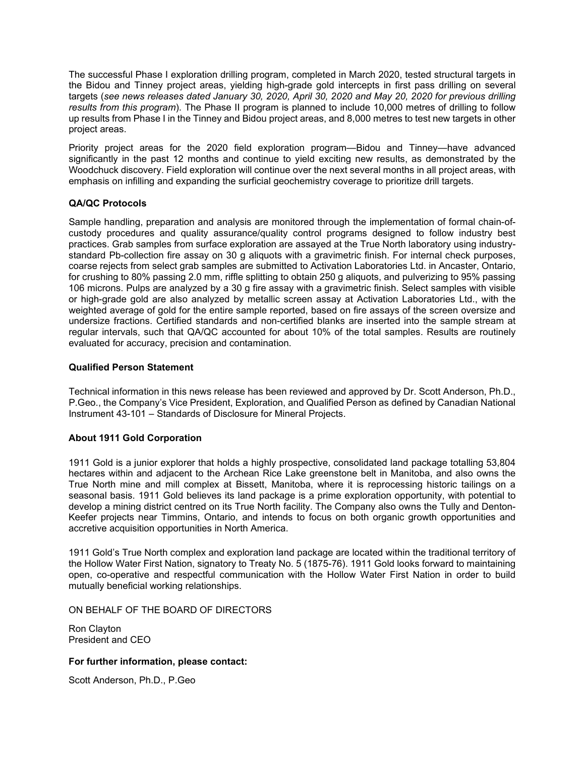The successful Phase I exploration drilling program, completed in March 2020, tested structural targets in the Bidou and Tinney project areas, yielding high-grade gold intercepts in first pass drilling on several targets (*see news releases dated January 30, 2020, April 30, 2020 and May 20, 2020 for previous drilling results from this program*). The Phase II program is planned to include 10,000 metres of drilling to follow up results from Phase I in the Tinney and Bidou project areas, and 8,000 metres to test new targets in other project areas.

Priority project areas for the 2020 field exploration program—Bidou and Tinney—have advanced significantly in the past 12 months and continue to yield exciting new results, as demonstrated by the Woodchuck discovery. Field exploration will continue over the next several months in all project areas, with emphasis on infilling and expanding the surficial geochemistry coverage to prioritize drill targets.

## **QA/QC Protocols**

Sample handling, preparation and analysis are monitored through the implementation of formal chain-ofcustody procedures and quality assurance/quality control programs designed to follow industry best practices. Grab samples from surface exploration are assayed at the True North laboratory using industrystandard Pb-collection fire assay on 30 g aliquots with a gravimetric finish. For internal check purposes, coarse rejects from select grab samples are submitted to Activation Laboratories Ltd. in Ancaster, Ontario, for crushing to 80% passing 2.0 mm, riffle splitting to obtain 250 g aliquots, and pulverizing to 95% passing 106 microns. Pulps are analyzed by a 30 g fire assay with a gravimetric finish. Select samples with visible or high-grade gold are also analyzed by metallic screen assay at Activation Laboratories Ltd., with the weighted average of gold for the entire sample reported, based on fire assays of the screen oversize and undersize fractions. Certified standards and non-certified blanks are inserted into the sample stream at regular intervals, such that QA/QC accounted for about 10% of the total samples. Results are routinely evaluated for accuracy, precision and contamination.

## **Qualified Person Statement**

Technical information in this news release has been reviewed and approved by Dr. Scott Anderson, Ph.D., P.Geo., the Company's Vice President, Exploration, and Qualified Person as defined by Canadian National Instrument 43-101 – Standards of Disclosure for Mineral Projects.

## **About 1911 Gold Corporation**

1911 Gold is a junior explorer that holds a highly prospective, consolidated land package totalling 53,804 hectares within and adjacent to the Archean Rice Lake greenstone belt in Manitoba, and also owns the True North mine and mill complex at Bissett, Manitoba, where it is reprocessing historic tailings on a seasonal basis. 1911 Gold believes its land package is a prime exploration opportunity, with potential to develop a mining district centred on its True North facility. The Company also owns the Tully and Denton-Keefer projects near Timmins, Ontario, and intends to focus on both organic growth opportunities and accretive acquisition opportunities in North America.

1911 Gold's True North complex and exploration land package are located within the traditional territory of the Hollow Water First Nation, signatory to Treaty No. 5 (1875-76). 1911 Gold looks forward to maintaining open, co-operative and respectful communication with the Hollow Water First Nation in order to build mutually beneficial working relationships.

ON BEHALF OF THE BOARD OF DIRECTORS

Ron Clayton President and CEO

### **For further information, please contact:**

Scott Anderson, Ph.D., P.Geo